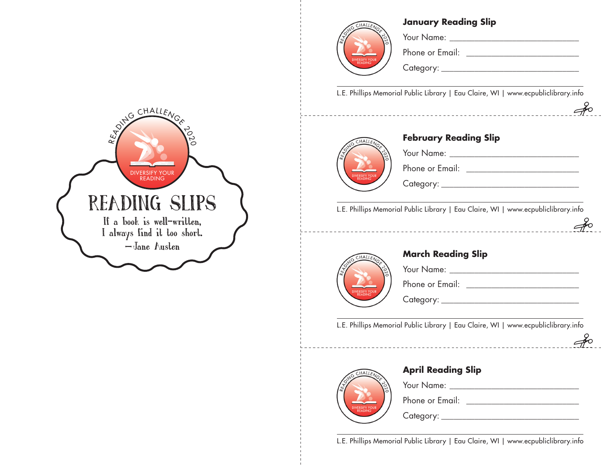#### **January Reading Slip**



Your Name: \_\_\_\_\_\_\_\_\_\_\_\_\_\_\_\_\_\_\_\_\_\_\_\_\_\_\_\_\_\_\_

Phone or Email: \_\_\_\_\_\_\_\_\_\_\_\_\_\_\_\_\_\_\_\_\_\_\_\_\_\_\_

Category: \_\_\_\_\_\_\_\_\_\_\_\_\_\_\_\_\_\_\_\_\_\_\_\_\_\_\_\_\_\_\_\_\_

L.E. Phillips Memorial Public Library | Eau Claire, WI | www.ecpubliclibrary.info

 $\epsilon$ 

 $\epsilon$ 

 $\mathcal{J}$ 



### **February Reading Slip**

Your Name: \_\_\_\_\_\_\_\_\_\_\_\_\_\_\_\_\_\_\_\_\_\_\_\_\_\_\_\_\_\_\_ Phone or Email: \_\_\_\_\_\_\_\_\_\_\_\_\_\_\_\_\_\_\_\_\_\_\_\_\_\_\_

Category: \_\_\_\_\_\_\_\_\_\_\_\_\_\_\_\_\_\_\_\_\_\_\_\_\_\_\_\_\_\_\_\_\_

L.E. Phillips Memorial Public Library | Eau Claire, WI | www.ecpubliclibrary.info



### **March Reading Slip**

Your Name: \_\_\_\_\_\_\_\_\_\_\_\_\_\_\_\_\_\_\_\_\_\_\_\_\_\_\_\_\_\_\_

Phone or Email:  $\blacksquare$ 

Category: \_\_\_\_\_\_\_\_\_\_\_\_\_\_\_\_\_\_\_\_\_\_\_\_\_\_\_\_\_\_\_\_\_

L.E. Phillips Memorial Public Library | Eau Claire, WI | www.ecpubliclibrary.info



## **April Reading Slip**

Phone or Email: \_\_\_\_\_\_\_\_\_\_\_\_\_\_\_\_\_\_\_\_\_\_\_\_\_\_\_

Category: \_\_\_\_\_\_\_\_\_\_\_\_\_\_\_\_\_\_\_\_\_\_\_\_\_\_\_\_\_\_\_\_\_

L.E. Phillips Memorial Public Library | Eau Claire, WI | www.ecpubliclibrary.info